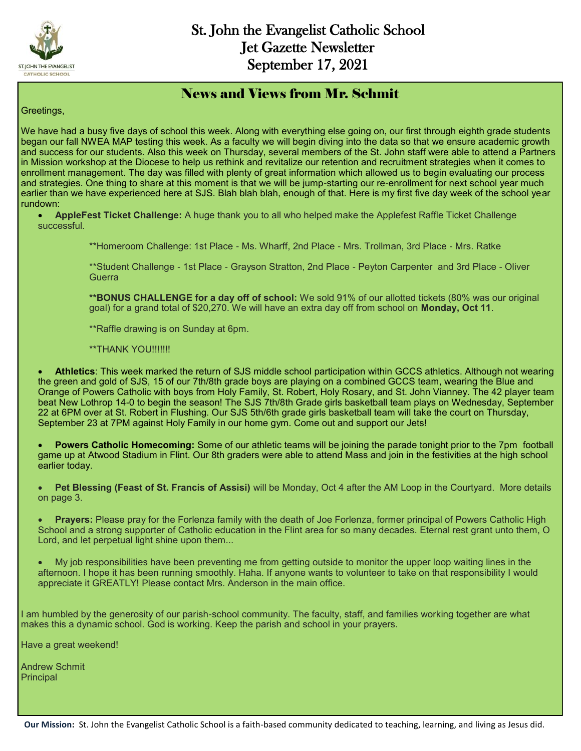

### News and Views from Mr. Schmit

#### Greetings,

We have had a busy five days of school this week. Along with everything else going on, our first through eighth grade students began our fall NWEA MAP testing this week. As a faculty we will begin diving into the data so that we ensure academic growth and success for our students. Also this week on Thursday, several members of the St. John staff were able to attend a Partners in Mission workshop at the Diocese to help us rethink and revitalize our retention and recruitment strategies when it comes to enrollment management. The day was filled with plenty of great information which allowed us to begin evaluating our process and strategies. One thing to share at this moment is that we will be jump-starting our re-enrollment for next school year much earlier than we have experienced here at SJS. Blah blah blah, enough of that. Here is my first five day week of the school year rundown:

- **AppleFest Ticket Challenge:** A huge thank you to all who helped make the Applefest Raffle Ticket Challenge successful.
	- \*\*Homeroom Challenge: 1st Place Ms. Wharff, 2nd Place Mrs. Trollman, 3rd Place Mrs. Ratke

\*\*Student Challenge - 1st Place - Grayson Stratton, 2nd Place - Peyton Carpenter and 3rd Place - Oliver **Guerra** 

**\*\*BONUS CHALLENGE for a day off of school:** We sold 91% of our allotted tickets (80% was our original goal) for a grand total of \$20,270. We will have an extra day off from school on **Monday, Oct 11**.

\*\*Raffle drawing is on Sunday at 6pm.

\*\*THANK YOU!!!!!!!

 **Athletics**: This week marked the return of SJS middle school participation within GCCS athletics. Although not wearing the green and gold of SJS, 15 of our 7th/8th grade boys are playing on a combined GCCS team, wearing the Blue and Orange of Powers Catholic with boys from Holy Family, St. Robert, Holy Rosary, and St. John Vianney. The 42 player team beat New Lothrop 14-0 to begin the season! The SJS 7th/8th Grade girls basketball team plays on Wednesday, September 22 at 6PM over at St. Robert in Flushing. Our SJS 5th/6th grade girls basketball team will take the court on Thursday, September 23 at 7PM against Holy Family in our home gym. Come out and support our Jets!

 **Powers Catholic Homecoming:** Some of our athletic teams will be joining the parade tonight prior to the 7pm football game up at Atwood Stadium in Flint. Our 8th graders were able to attend Mass and join in the festivities at the high school earlier today.

 **Pet Blessing (Feast of St. Francis of Assisi)** will be Monday, Oct 4 after the AM Loop in the Courtyard. More details on page 3.

 **Prayers:** Please pray for the Forlenza family with the death of Joe Forlenza, former principal of Powers Catholic High School and a strong supporter of Catholic education in the Flint area for so many decades. Eternal rest grant unto them, O Lord, and let perpetual light shine upon them...

 My job responsibilities have been preventing me from getting outside to monitor the upper loop waiting lines in the afternoon. I hope it has been running smoothly. Haha. If anyone wants to volunteer to take on that responsibility I would appreciate it GREATLY! Please contact Mrs. Anderson in the main office.

I am humbled by the generosity of our parish-school community. The faculty, staff, and families working together are what makes this a dynamic school. God is working. Keep the parish and school in your prayers.

Have a great weekend!

Andrew Schmit **Principal**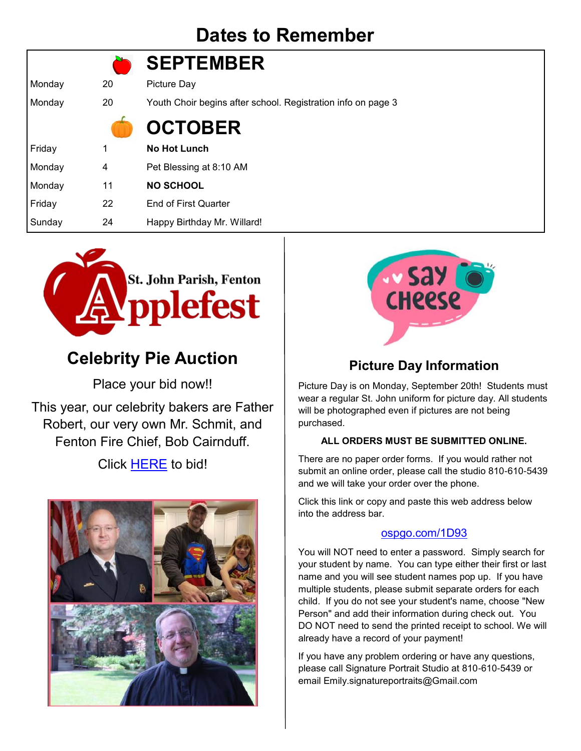# **Dates to Remember**

|        |    | <b>SEPTEMBER</b>                                             |
|--------|----|--------------------------------------------------------------|
| Monday | 20 | Picture Day                                                  |
| Monday | 20 | Youth Choir begins after school. Registration info on page 3 |
|        |    | <b>OCTOBER</b>                                               |
| Friday | 1  | <b>No Hot Lunch</b>                                          |
| Monday | 4  | Pet Blessing at 8:10 AM                                      |
| Monday | 11 | <b>NO SCHOOL</b>                                             |
| Friday | 22 | <b>End of First Quarter</b>                                  |
| Sunday | 24 | Happy Birthday Mr. Willard!                                  |



# **Celebrity Pie Auction**

Place your bid now!!

This year, our celebrity bakers are Father Robert, our very own Mr. Schmit, and Fenton Fire Chief, Bob Cairnduff.

### Click [HERE](https://www.stjohnfenton.org/applefest-celebrity-pie-auction.html) to bid!





### **Picture Day Information**

Picture Day is on Monday, September 20th! Students must wear a regular St. John uniform for picture day. All students will be photographed even if pictures are not being purchased.

#### **ALL ORDERS MUST BE SUBMITTED ONLINE.**

There are no paper order forms. If you would rather not submit an online order, please call the studio 810-610-5439 and we will take your order over the phone.

Click this link or copy and paste this web address below into the address bar.

#### <ospgo.com/1D93>

You will NOT need to enter a password. Simply search for your student by name. You can type either their first or last name and you will see student names pop up. If you have multiple students, please submit separate orders for each child. If you do not see your student's name, choose "New Person" and add their information during check out. You DO NOT need to send the printed receipt to school. We will already have a record of your payment!

If you have any problem ordering or have any questions, please call Signature Portrait Studio at 810-610-5439 or email Emily.signatureportraits@Gmail.com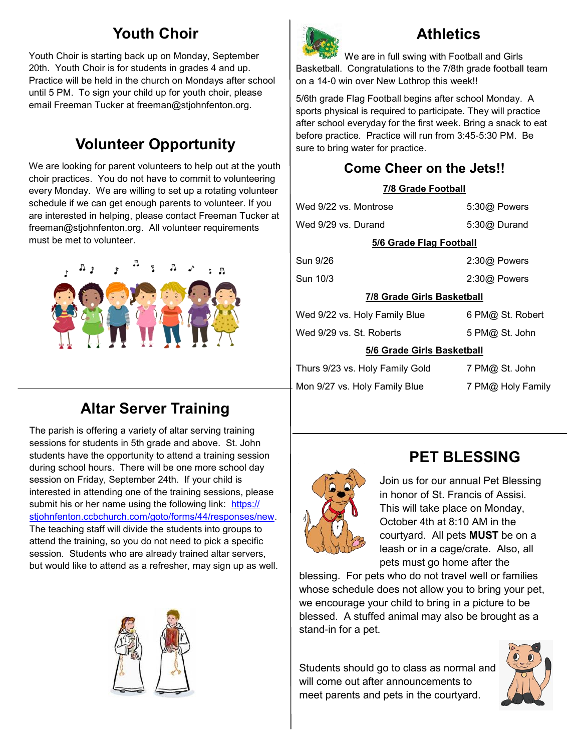## **Youth Choir**

Youth Choir is starting back up on Monday, September 20th. Youth Choir is for students in grades 4 and up. Practice will be held in the church on Mondays after school until 5 PM. To sign your child up for youth choir, please email Freeman Tucker at freeman@stjohnfenton.org.

## **Volunteer Opportunity**

We are looking for parent volunteers to help out at the youth choir practices. You do not have to commit to volunteering every Monday. We are willing to set up a rotating volunteer schedule if we can get enough parents to volunteer. If you are interested in helping, please contact Freeman Tucker at freeman@stjohnfenton.org. All volunteer requirements must be met to volunteer.



## **Altar Server Training**

The parish is offering a variety of altar serving training sessions for students in 5th grade and above. St. John students have the opportunity to attend a training session during school hours. There will be one more school day session on Friday, September 24th. If your child is interested in attending one of the training sessions, please submit his or her name using the following link: [https://](http://track.spe.schoolmessenger.com/f/a/3372Mr--Wyb1KPpMQ5dFgg~~/AAAAAQA~/RgRjENYAP0Q-aHR0cHM6Ly9zdGpvaG5mZW50b24uY2NiY2h1cmNoLmNvbS9nb3RvL2Zvcm1zLzQ0L3Jlc3BvbnNlcy9uZXdXB3NjaG9vbG1CCmEsgKIvYfy4QaRSEWVld2lzZTFAZ21haWwuY29tWAQAAAAB) [stjohnfenton.ccbchurch.com/goto/forms/44/responses/new.](http://track.spe.schoolmessenger.com/f/a/3372Mr--Wyb1KPpMQ5dFgg~~/AAAAAQA~/RgRjENYAP0Q-aHR0cHM6Ly9zdGpvaG5mZW50b24uY2NiY2h1cmNoLmNvbS9nb3RvL2Zvcm1zLzQ0L3Jlc3BvbnNlcy9uZXdXB3NjaG9vbG1CCmEsgKIvYfy4QaRSEWVld2lzZTFAZ21haWwuY29tWAQAAAAB) The teaching staff will divide the students into groups to attend the training, so you do not need to pick a specific session. Students who are already trained altar servers, but would like to attend as a refresher, may sign up as well.





## **Athletics**

We are in full swing with Football and Girls Basketball. Congratulations to the 7/8th grade football team on a 14-0 win over New Lothrop this week!!

5/6th grade Flag Football begins after school Monday. A sports physical is required to participate. They will practice after school everyday for the first week. Bring a snack to eat before practice. Practice will run from 3:45-5:30 PM. Be sure to bring water for practice.

## **Come Cheer on the Jets!!**

#### **7/8 Grade Football**

| Wed 9/22 vs. Montrose             | 5:30@ Powers      |  |  |
|-----------------------------------|-------------------|--|--|
| Wed 9/29 vs. Durand               | 5:30@ Durand      |  |  |
| <b>5/6 Grade Flag Football</b>    |                   |  |  |
| Sun 9/26                          | 2:30@ Powers      |  |  |
| Sun 10/3                          | $2:30@$ Powers    |  |  |
| <b>7/8 Grade Girls Basketball</b> |                   |  |  |
| Wed 9/22 vs. Holy Family Blue     | 6 PM@ St. Robert  |  |  |
| Wed 9/29 vs. St. Roberts          | 5 PM@ St. John    |  |  |
| 5/6 Grade Girls Basketball        |                   |  |  |
| Thurs 9/23 vs. Holy Family Gold   | 7 PM@ St. John    |  |  |
| Mon 9/27 vs. Holy Family Blue     | 7 PM@ Holy Family |  |  |



## **PET BLESSING**

Join us for our annual Pet Blessing in honor of St. Francis of Assisi. This will take place on Monday, October 4th at 8:10 AM in the courtyard. All pets **MUST** be on a leash or in a cage/crate. Also, all pets must go home after the

blessing. For pets who do not travel well or families whose schedule does not allow you to bring your pet, we encourage your child to bring in a picture to be blessed. A stuffed animal may also be brought as a stand-in for a pet.

Students should go to class as normal and will come out after announcements to meet parents and pets in the courtyard.